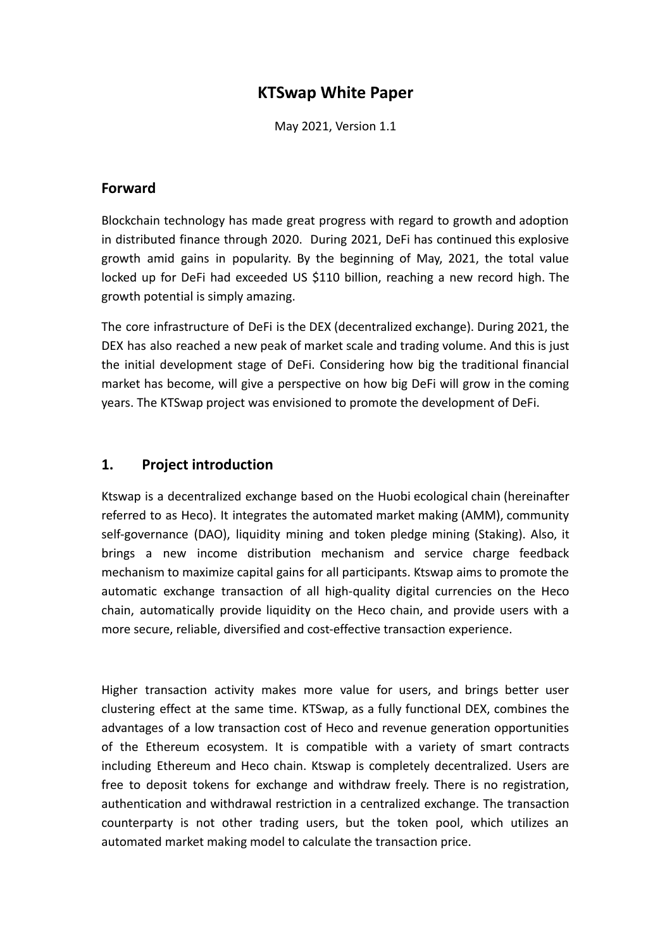# **KTSwap White Paper**

May 2021, Version 1.1

### **Forward**

Blockchain technology has made great progress with regard to growth and adoption in distributed finance through 2020. During 2021, DeFi has continued this explosive growth amid gains in popularity. By the beginning of May, 2021, the total value locked up for DeFi had exceeded US \$110 billion, reaching a new record high. The growth potential is simply amazing.

The core infrastructure of DeFi is the DEX (decentralized exchange). During 2021, the DEX has also reached a new peak of market scale and trading volume. And this is just the initial development stage of DeFi. Considering how big the traditional financial market has become, will give a perspective on how big DeFi will grow in the coming years. The KTSwap project was envisioned to promote the development of DeFi.

### **1. Project introduction**

Ktswap is a decentralized exchange based on the Huobi ecological chain (hereinafter referred to as Heco). It integrates the automated market making (AMM), community self-governance (DAO), liquidity mining and token pledge mining (Staking). Also, it brings a new income distribution mechanism and service charge feedback mechanism to maximize capital gains for all participants. Ktswap aims to promote the automatic exchange transaction of all high-quality digital currencies on the Heco chain, automatically provide liquidity on the Heco chain, and provide users with a more secure, reliable, diversified and cost-effective transaction experience.

Higher transaction activity makes more value for users, and brings better user clustering effect at the same time. KTSwap, as a fully functional DEX, combines the advantages of a low transaction cost of Heco and revenue generation opportunities of the Ethereum ecosystem. It is compatible with a variety of smart contracts including Ethereum and Heco chain. Ktswap is completely decentralized. Users are free to deposit tokens for exchange and withdraw freely. There is no registration, authentication and withdrawal restriction in a centralized exchange. The transaction counterparty is not other trading users, but the token pool, which utilizes an automated market making model to calculate the transaction price.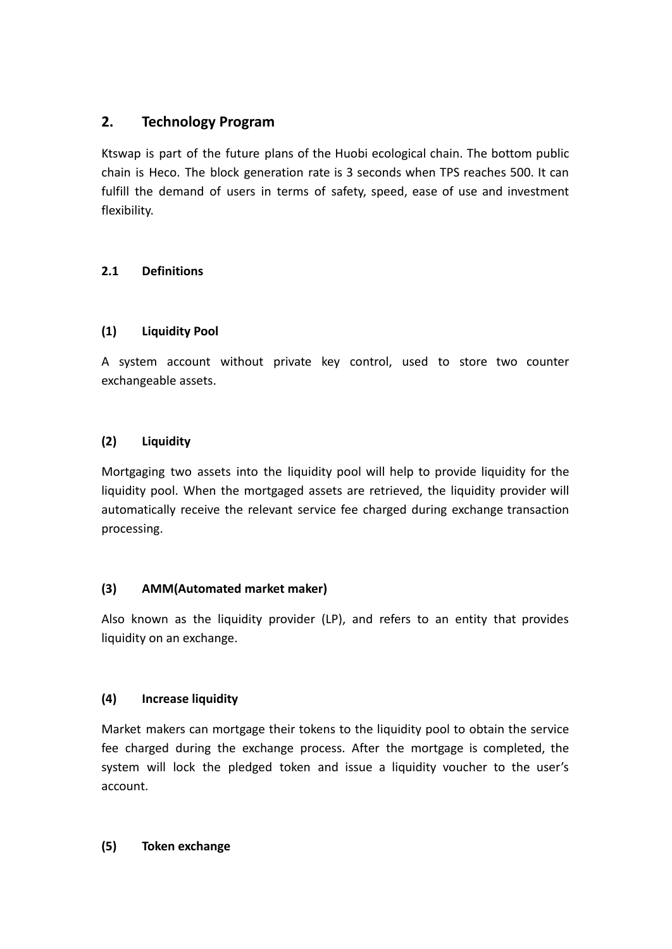# **2. Technology Program**

Ktswap is part of the future plans of the Huobi ecological chain. The bottom public chain is Heco. The block generation rate is 3 seconds when TPS reaches 500. It can fulfill the demand of users in terms of safety, speed, ease of use and investment flexibility.

## **2.1 Definitions**

## **(1) Liquidity Pool**

A system account without private key control, used to store two counter exchangeable assets.

## **(2) Liquidity**

Mortgaging two assets into the liquidity pool will help to provide liquidity for the liquidity pool. When the mortgaged assets are retrieved, the liquidity provider will automatically receive the relevant service fee charged during exchange transaction processing.

## **(3) AMM(Automated market maker)**

Also known as the liquidity provider (LP), and refers to an entity that provides liquidity on an exchange.

## **(4) Increase liquidity**

Market makers can mortgage their tokens to the liquidity pool to obtain the service fee charged during the exchange process. After the mortgage is completed, the system will lock the pledged token and issue a liquidity voucher to the user's account.

## **(5) Token exchange**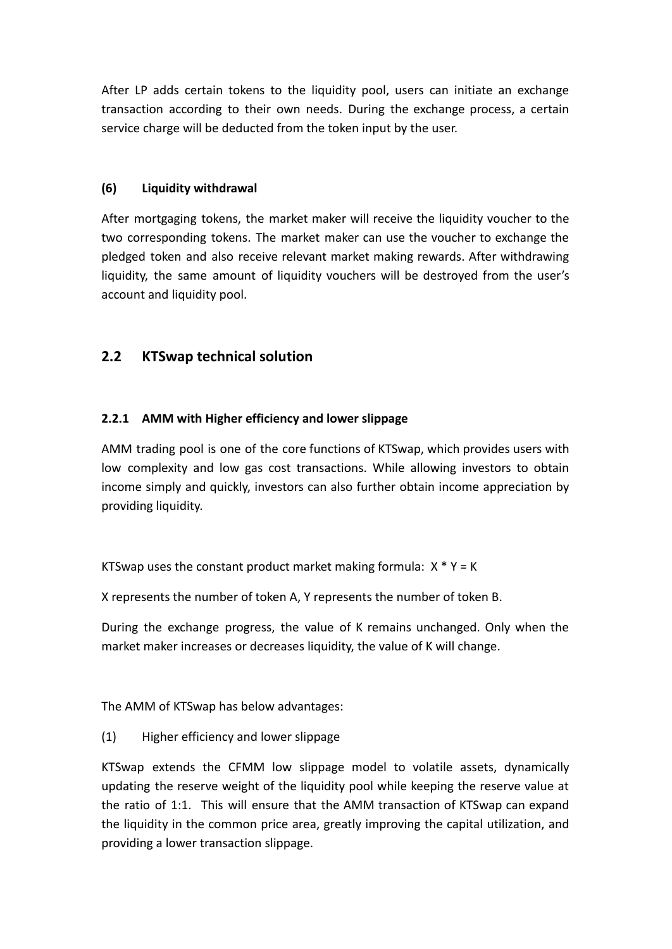After LP adds certain tokens to the liquidity pool, users can initiate an exchange transaction according to their own needs. During the exchange process, a certain service charge will be deducted from the token input by the user.

#### **(6) Liquidity withdrawal**

After mortgaging tokens, the market maker will receive the liquidity voucher to the two corresponding tokens. The market maker can use the voucher to exchange the pledged token and also receive relevant market making rewards. After withdrawing liquidity, the same amount of liquidity vouchers will be destroyed from the user's account and liquidity pool.

# **2.2 KTSwap technical solution**

### **2.2.1 AMM with Higher efficiency and lower slippage**

AMM trading pool is one of the core functions of KTSwap, which provides users with low complexity and low gas cost transactions. While allowing investors to obtain income simply and quickly, investors can also further obtain income appreciation by providing liquidity.

KTSwap uses the constant product market making formula:  $X * Y = K$ 

X represents the number of token A, Y represents the number of token B.

During the exchange progress, the value of K remains unchanged. Only when the market maker increases or decreases liquidity, the value of K will change.

The AMM of KTSwap has below advantages:

(1) Higher efficiency and lower slippage

KTSwap extends the CFMM low slippage model to volatile assets, dynamically updating the reserve weight of the liquidity pool while keeping the reserve value at the ratio of 1:1. This will ensure that the AMM transaction of KTSwap can expand the liquidity in the common price area, greatly improving the capital utilization, and providing a lower transaction slippage.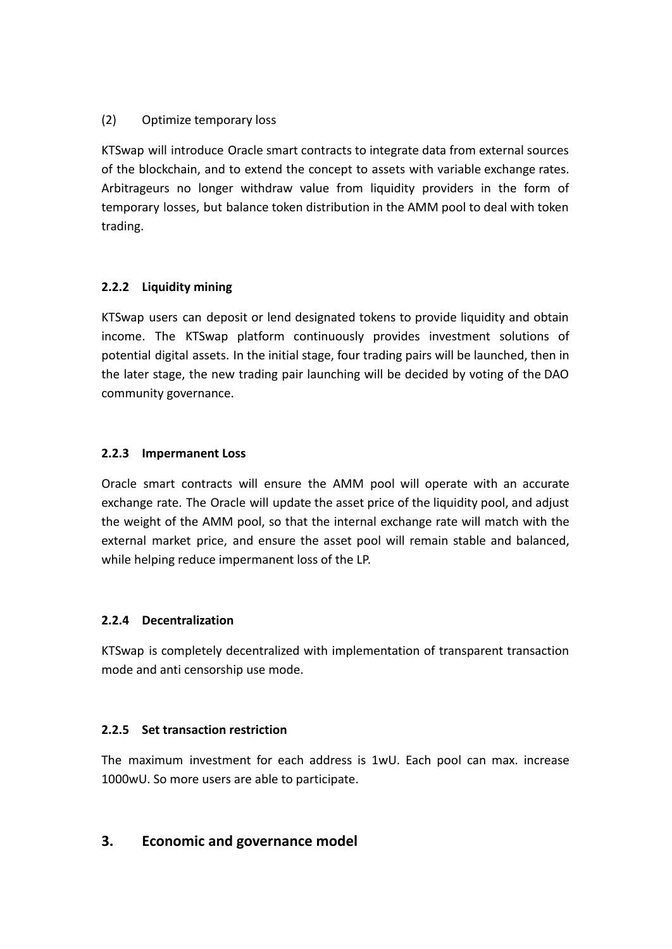#### (2) Optimize temporary loss

KTSwap will introduce Oracle smart contracts to integrate data from external sources of the blockchain, and to extend the concept to assets with variable exchange rates. Arbitrageurs no longer withdraw value from liquidity providers in the form of temporary losses, but balance token distribution in the AMM pool to deal with token trading.

### **2.2.2 Liquidity mining**

KTSwap users can deposit or lend designated tokens to provide liquidity and obtain income. The KTSwap platform continuously provides investment solutions of potential digital assets. In the initial stage, four trading pairs will be launched, then in the later stage, the new trading pair launching will be decided by voting of the DAO community governance.

#### **2.2.3 Impermanent Loss**

Oracle smart contracts will ensure the AMM pool will operate with an accurate exchange rate. The Oracle will update the asset price of the liquidity pool, and adjust the weight of the AMM pool, so that the internal exchange rate will match with the external market price, and ensure the asset pool will remain stable and balanced, while helping reduce impermanent loss of the LP.

## **2.2.4 Decentralization**

KTSwap is completely decentralized with implementation of transparent transaction mode and anti censorship use mode.

#### **2.2.5 Set transaction restriction**

The maximum investment for each address is 1wU. Each pool can max. increase 1000wU. So more users are able to participate.

## **3. Economic and governance model**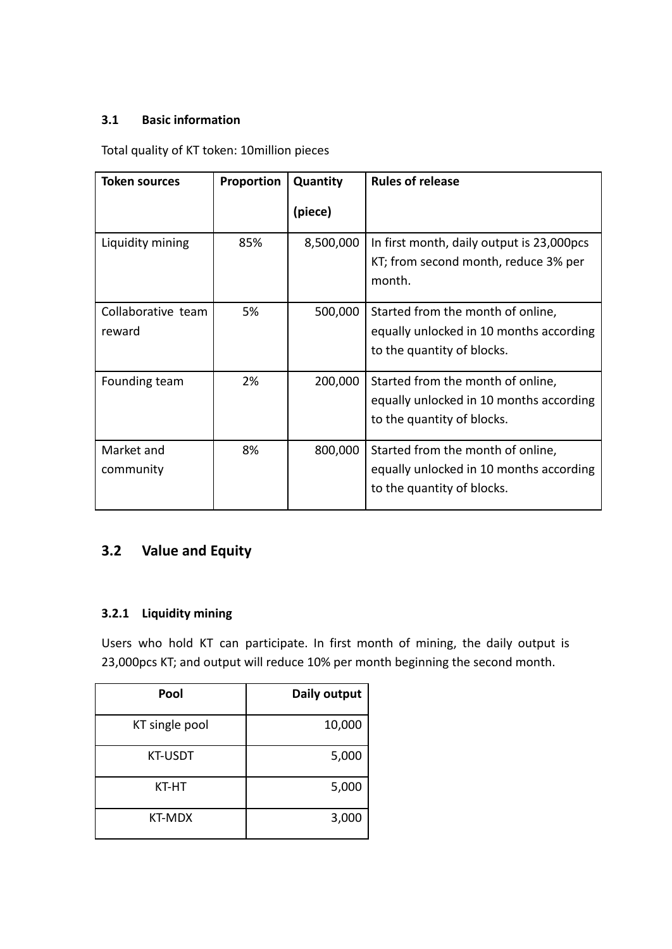### **3.1 Basic information**

Total quality of KT token: 10million pieces

| <b>Token sources</b>         | Proportion | Quantity  | <b>Rules of release</b>                                                                                    |
|------------------------------|------------|-----------|------------------------------------------------------------------------------------------------------------|
|                              |            | (piece)   |                                                                                                            |
| Liquidity mining             | 85%        | 8,500,000 | In first month, daily output is 23,000pcs<br>KT; from second month, reduce 3% per<br>month.                |
| Collaborative team<br>reward | 5%         | 500,000   | Started from the month of online,<br>equally unlocked in 10 months according<br>to the quantity of blocks. |
| Founding team                | 2%         | 200,000   | Started from the month of online,<br>equally unlocked in 10 months according<br>to the quantity of blocks. |
| Market and<br>community      | 8%         | 800,000   | Started from the month of online,<br>equally unlocked in 10 months according<br>to the quantity of blocks. |

# **3.2 Value and Equity**

# **3.2.1 Liquidity mining**

Users who hold KT can participate. In first month of mining, the daily output is 23,000pcs KT; and output will reduce 10% per month beginning the second month.

| Pool           | Daily output |
|----------------|--------------|
| KT single pool | 10,000       |
| <b>KT-USDT</b> | 5,000        |
| KT-HT          | 5,000        |
| KT-MDX         | 3,000        |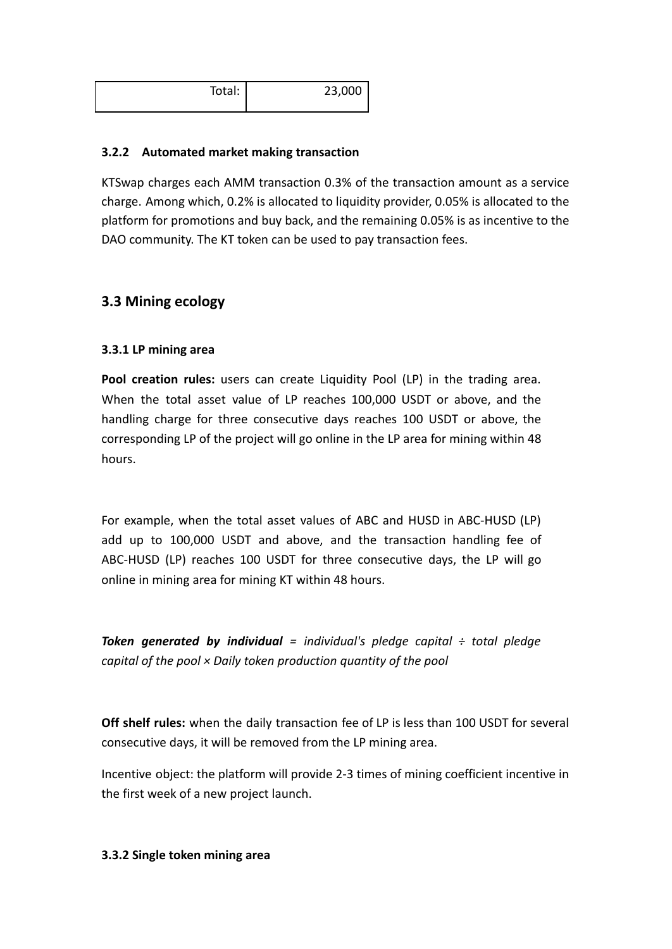| Total: | 23,000 |
|--------|--------|
|        |        |

#### **3.2.2 Automated market making transaction**

KTSwap charges each AMM transaction 0.3% of the transaction amount as a service charge. Among which, 0.2% is allocated to liquidity provider, 0.05% is allocated to the platform for promotions and buy back, and the remaining 0.05% is as incentive to the DAO community. The KT token can be used to pay transaction fees.

## **3.3 Mining ecology**

#### **3.3.1 LP mining area**

**Pool creation rules:** users can create Liquidity Pool (LP) in the trading area. When the total asset value of LP reaches 100,000 USDT or above, and the handling charge for three consecutive days reaches 100 USDT or above, the corresponding LP of the project will go online in the LP area for mining within 48 hours.

For example, when the total asset values of ABC and HUSD in ABC-HUSD (LP) add up to 100,000 USDT and above, and the transaction handling fee of ABC-HUSD (LP) reaches 100 USDT for three consecutive days, the LP will go online in mining area for mining KT within 48 hours.

*Token generated by individual = individual's pledge capital ÷ total pledge capital of the pool × Daily token production quantity of the pool*

**Off shelf rules:** when the daily transaction fee of LP is less than 100 USDT for several consecutive days, it will be removed from the LP mining area.

Incentive object: the platform will provide 2-3 times of mining coefficient incentive in the first week of a new project launch.

#### **3.3.2 Single token mining area**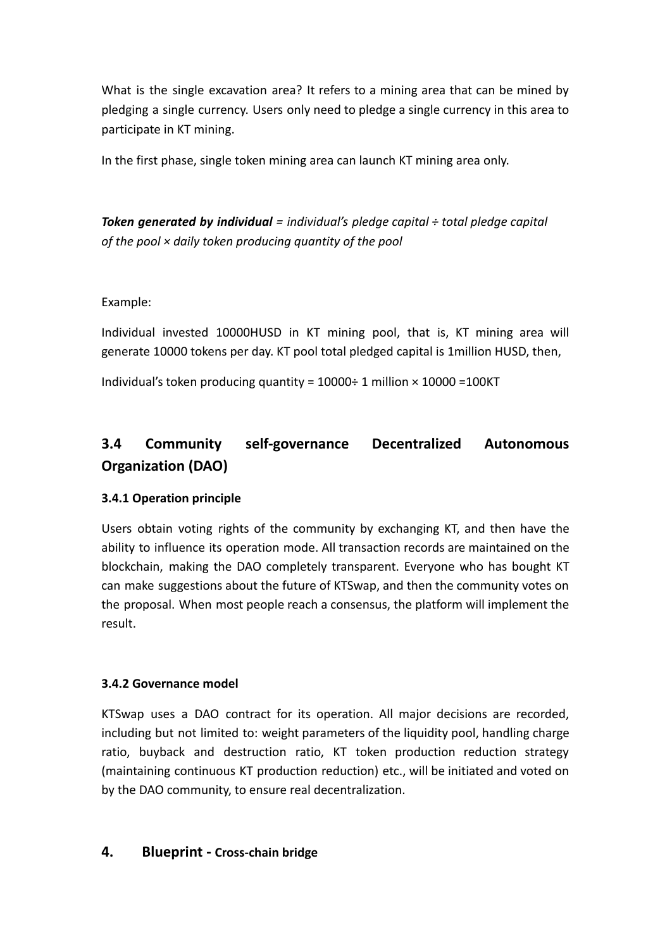What is the single excavation area? It refers to a mining area that can be mined by pledging a single currency. Users only need to pledge a single currency in this area to participate in KT mining.

In the first phase, single token mining area can launch KT mining area only.

*Token generated by individual = individual's pledge capital ÷ total pledge capital of the pool × daily token producing quantity of the pool*

Example:

Individual invested 10000HUSD in KT mining pool, that is, KT mining area will generate 10000 tokens per day. KT pool total pledged capital is 1million HUSD, then,

Individual's token producing quantity =  $10000 \div 1$  million  $\times 10000$  =  $100K$ T

# **3.4 Community self-governance Decentralized Autonomous Organization (DAO)**

#### **3.4.1 Operation principle**

Users obtain voting rights of the community by exchanging KT, and then have the ability to influence its operation mode. All transaction records are maintained on the blockchain, making the DAO completely transparent. Everyone who has bought KT can make suggestions about the future of KTSwap, and then the community votes on the proposal. When most people reach a consensus, the platform will implement the result.

#### **3.4.2 Governance model**

KTSwap uses a DAO contract for its operation. All major decisions are recorded, including but not limited to: weight parameters of the liquidity pool, handling charge ratio, buyback and destruction ratio, KT token production reduction strategy (maintaining continuous KT production reduction) etc., will be initiated and voted on by the DAO community, to ensure real decentralization.

#### **4. Blueprint - Cross-chain bridge**